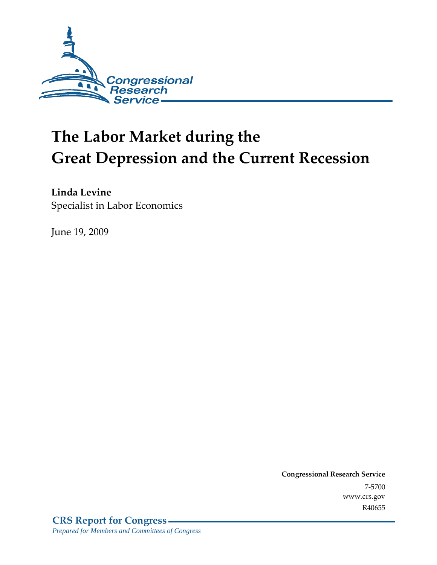

# **The Labor Market during the Great Depression and the Current Recession**

**Linda Levine**  Specialist in Labor Economics

June 19, 2009

**Congressional Research Service** 7-5700 www.crs.gov R40655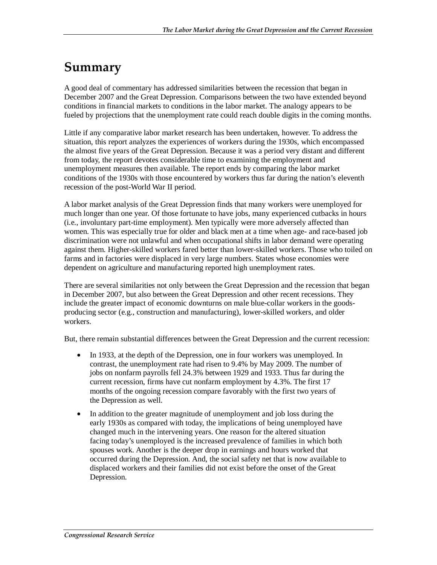## **Summary**

A good deal of commentary has addressed similarities between the recession that began in December 2007 and the Great Depression. Comparisons between the two have extended beyond conditions in financial markets to conditions in the labor market. The analogy appears to be fueled by projections that the unemployment rate could reach double digits in the coming months.

Little if any comparative labor market research has been undertaken, however. To address the situation, this report analyzes the experiences of workers during the 1930s, which encompassed the almost five years of the Great Depression. Because it was a period very distant and different from today, the report devotes considerable time to examining the employment and unemployment measures then available. The report ends by comparing the labor market conditions of the 1930s with those encountered by workers thus far during the nation's eleventh recession of the post-World War II period.

A labor market analysis of the Great Depression finds that many workers were unemployed for much longer than one year. Of those fortunate to have jobs, many experienced cutbacks in hours (i.e., involuntary part-time employment). Men typically were more adversely affected than women. This was especially true for older and black men at a time when age- and race-based job discrimination were not unlawful and when occupational shifts in labor demand were operating against them. Higher-skilled workers fared better than lower-skilled workers. Those who toiled on farms and in factories were displaced in very large numbers. States whose economies were dependent on agriculture and manufacturing reported high unemployment rates.

There are several similarities not only between the Great Depression and the recession that began in December 2007, but also between the Great Depression and other recent recessions. They include the greater impact of economic downturns on male blue-collar workers in the goodsproducing sector (e.g., construction and manufacturing), lower-skilled workers, and older workers.

But, there remain substantial differences between the Great Depression and the current recession:

- In 1933, at the depth of the Depression, one in four workers was unemployed. In contrast, the unemployment rate had risen to 9.4% by May 2009. The number of jobs on nonfarm payrolls fell 24.3% between 1929 and 1933. Thus far during the current recession, firms have cut nonfarm employment by 4.3%. The first 17 months of the ongoing recession compare favorably with the first two years of the Depression as well.
- In addition to the greater magnitude of unemployment and job loss during the early 1930s as compared with today, the implications of being unemployed have changed much in the intervening years. One reason for the altered situation facing today's unemployed is the increased prevalence of families in which both spouses work. Another is the deeper drop in earnings and hours worked that occurred during the Depression. And, the social safety net that is now available to displaced workers and their families did not exist before the onset of the Great Depression.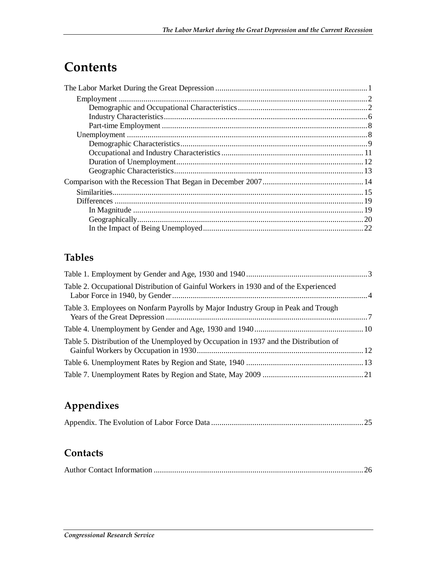## **Contents**

## **Tables**

| Table 2. Occupational Distribution of Gainful Workers in 1930 and of the Experienced  |  |
|---------------------------------------------------------------------------------------|--|
| Table 3. Employees on Nonfarm Payrolls by Major Industry Group in Peak and Trough     |  |
|                                                                                       |  |
| Table 5. Distribution of the Unemployed by Occupation in 1937 and the Distribution of |  |
|                                                                                       |  |
|                                                                                       |  |

## **Appendixes**

|--|--|--|--|--|--|

### **Contacts**

|--|--|--|--|--|--|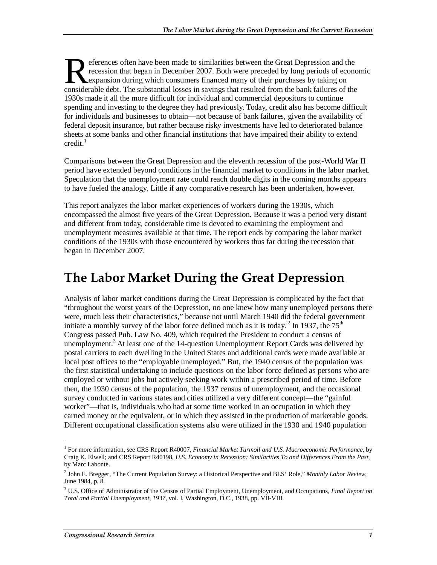eferences often have been made to similarities between the Great Depression and the recession that began in December 2007. Both were preceded by long periods of economic expansion during which consumers financed many of their purchases by taking on eferences often have been made to similarities between the Great Depression and the recession that began in December 2007. Both were preceded by long periods of economistic expansion during which consumers financed many of 1930s made it all the more difficult for individual and commercial depositors to continue spending and investing to the degree they had previously. Today, credit also has become difficult for individuals and businesses to obtain—not because of bank failures, given the availability of federal deposit insurance, but rather because risky investments have led to deteriorated balance sheets at some banks and other financial institutions that have impaired their ability to extend  $\mathrm{credit.}^1$ 

Comparisons between the Great Depression and the eleventh recession of the post-World War II period have extended beyond conditions in the financial market to conditions in the labor market. Speculation that the unemployment rate could reach double digits in the coming months appears to have fueled the analogy. Little if any comparative research has been undertaken, however.

This report analyzes the labor market experiences of workers during the 1930s, which encompassed the almost five years of the Great Depression. Because it was a period very distant and different from today, considerable time is devoted to examining the employment and unemployment measures available at that time. The report ends by comparing the labor market conditions of the 1930s with those encountered by workers thus far during the recession that began in December 2007.

## **The Labor Market During the Great Depression**

Analysis of labor market conditions during the Great Depression is complicated by the fact that "throughout the worst years of the Depression, no one knew how many unemployed persons there were, much less their characteristics," because not until March 1940 did the federal government initiate a monthly survey of the labor force defined much as it is today.<sup>2</sup> In 1937, the 75<sup>th</sup> Congress passed Pub. Law No. 409, which required the President to conduct a census of unemployment.<sup>3</sup> At least one of the 14-question Unemployment Report Cards was delivered by postal carriers to each dwelling in the United States and additional cards were made available at local post offices to the "employable unemployed." But, the 1940 census of the population was the first statistical undertaking to include questions on the labor force defined as persons who are employed or without jobs but actively seeking work within a prescribed period of time. Before then, the 1930 census of the population, the 1937 census of unemployment, and the occasional survey conducted in various states and cities utilized a very different concept—the "gainful worker"—that is, individuals who had at some time worked in an occupation in which they earned money or the equivalent, or in which they assisted in the production of marketable goods. Different occupational classification systems also were utilized in the 1930 and 1940 population

<sup>-</sup><sup>1</sup> For more information, see CRS Report R40007, *Financial Market Turmoil and U.S. Macroeconomic Performance*, by Craig K. Elwell; and CRS Report R40198, *U.S. Economy in Recession: Similarities To and Differences From the Past*, by Marc Labonte.

<sup>2</sup> John E. Bregger, "The Current Population Survey: a Historical Perspective and BLS' Role," *Monthly Labor Review*, June 1984, p. 8.

<sup>3</sup> U.S. Office of Administrator of the Census of Partial Employment, Unemployment, and Occupations, *Final Report on Total and Partial Unemployment, 1937*, vol. I, Washington, D.C., 1938, pp. VII-VIII.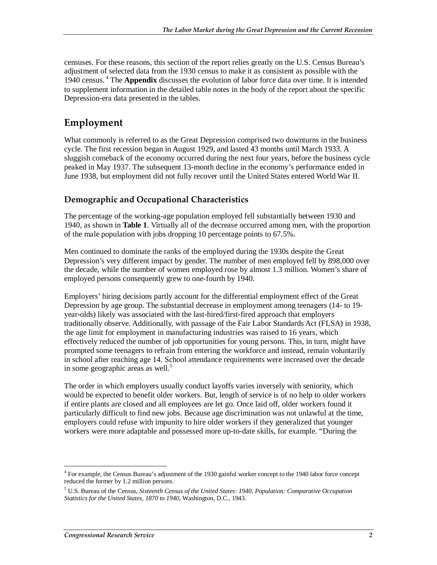censuses. For these reasons, this section of the report relies greatly on the U.S. Census Bureau's adjustment of selected data from the 1930 census to make it as consistent as possible with the 1940 census. 4 The **Appendix** discusses the evolution of labor force data over time. It is intended to supplement information in the detailed table notes in the body of the report about the specific Depression-era data presented in the tables.

### **Employment**

What commonly is referred to as the Great Depression comprised two downturns in the business cycle. The first recession began in August 1929, and lasted 43 months until March 1933. A sluggish comeback of the economy occurred during the next four years, before the business cycle peaked in May 1937. The subsequent 13-month decline in the economy's performance ended in June 1938, but employment did not fully recover until the United States entered World War II.

#### **Demographic and Occupational Characteristics**

The percentage of the working-age population employed fell substantially between 1930 and 1940, as shown in **Table 1**. Virtually all of the decrease occurred among men, with the proportion of the male population with jobs dropping 10 percentage points to 67.5%.

Men continued to dominate the ranks of the employed during the 1930s despite the Great Depression's very different impact by gender. The number of men employed fell by 898,000 over the decade, while the number of women employed rose by almost 1.3 million. Women's share of employed persons consequently grew to one-fourth by 1940.

Employers' hiring decisions partly account for the differential employment effect of the Great Depression by age group. The substantial decrease in employment among teenagers (14- to 19 year-olds) likely was associated with the last-hired/first-fired approach that employers traditionally observe. Additionally, with passage of the Fair Labor Standards Act (FLSA) in 1938, the age limit for employment in manufacturing industries was raised to 16 years, which effectively reduced the number of job opportunities for young persons. This, in turn, might have prompted some teenagers to refrain from entering the workforce and instead, remain voluntarily in school after reaching age 14. School attendance requirements were increased over the decade in some geographic areas as well.<sup>5</sup>

The order in which employers usually conduct layoffs varies inversely with seniority, which would be expected to benefit older workers. But, length of service is of no help to older workers if entire plants are closed and all employees are let go. Once laid off, older workers found it particularly difficult to find new jobs. Because age discrimination was not unlawful at the time, employers could refuse with impunity to hire older workers if they generalized that younger workers were more adaptable and possessed more up-to-date skills, for example. "During the

<sup>-</sup><sup>4</sup> For example, the Census Bureau's adjustment of the 1930 gainful worker concept to the 1940 labor force concept reduced the former by 1.2 million persons.

<sup>5</sup> U.S. Bureau of the Census, *Sixteenth Census of the United States: 1940, Population: Comparative Occupation Statistics for the United States, 1870 to 1940*, Washington, D.C., 1943.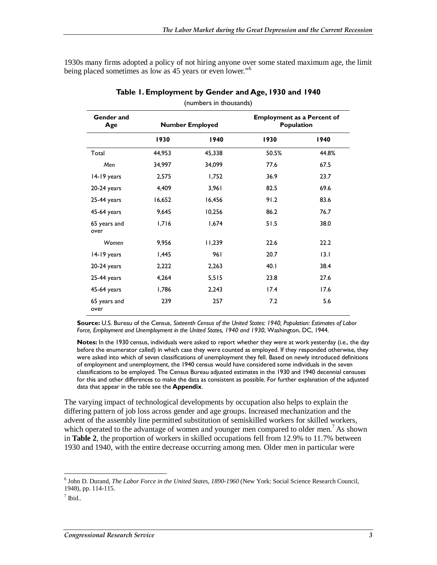1930s many firms adopted a policy of not hiring anyone over some stated maximum age, the limit being placed sometimes as low as 45 years or even lower."<sup>6</sup>

| (                    |        |                        |                                                 |       |
|----------------------|--------|------------------------|-------------------------------------------------|-------|
| Gender and<br>Age    |        | <b>Number Employed</b> | <b>Employment as a Percent of</b><br>Population |       |
|                      | 1930   | 1940                   | 1930                                            | 1940  |
| Total                | 44,953 | 45,338                 | 50.5%                                           | 44.8% |
| Men                  | 34,997 | 34,099                 | 77.6                                            | 67.5  |
| 14-19 years          | 2,575  | 1,752                  | 36.9                                            | 23.7  |
| $20-24$ years        | 4,409  | 3,961                  | 82.5                                            | 69.6  |
| 25-44 years          | 16,652 | 16,456                 | 91.2                                            | 83.6  |
| 45-64 years          | 9,645  | 10,256                 | 86.2                                            | 76.7  |
| 65 years and<br>over | 1,716  | 1,674                  | 51.5                                            | 38.0  |
| Women                | 9,956  | 11,239                 | 22.6                                            | 22.2  |
| 14-19 years          | 1,445  | 961                    | 20.7                                            | 13.1  |
| $20-24$ years        | 2,222  | 2,263                  | 40.1                                            | 38.4  |
| 25-44 years          | 4,264  | 5,515                  | 23.8                                            | 27.6  |
| 45-64 years          | 1,786  | 2,243                  | 17.4                                            | 17.6  |
| 65 years and<br>over | 239    | 257                    | 7.2                                             | 5.6   |

(numbers in thousands)

**Source:** U.S. Bureau of the Census, *Sixteenth Census of the United States: 1940, Population: Estimates of Labor Force, Employment and Unemployment in the United States, 1940 and 1930*, Washington, DC, 1944.

**Notes:** In the 1930 census, individuals were asked to report whether they were at work yesterday (i.e., the day before the enumerator called) in which case they were counted as employed. If they responded otherwise, they were asked into which of seven classifications of unemployment they fell. Based on newly introduced definitions of employment and unemployment, the 1940 census would have considered some individuals in the seven classifications to be employed. The Census Bureau adjusted estimates in the 1930 and 1940 decennial censuses for this and other differences to make the data as consistent as possible. For further explanation of the adjusted data that appear in the table see the **Appendix**.

The varying impact of technological developments by occupation also helps to explain the differing pattern of job loss across gender and age groups. Increased mechanization and the advent of the assembly line permitted substitution of semiskilled workers for skilled workers, which operated to the advantage of women and younger men compared to older men.<sup>7</sup> As shown in **Table 2**, the proportion of workers in skilled occupations fell from 12.9% to 11.7% between 1930 and 1940, with the entire decrease occurring among men. Older men in particular were

-

<sup>6</sup> John D. Durand, *The Labor Force in the United States, 1890-1960* (New York: Social Science Research Council, 1948), pp. 114-115.

 $<sup>7</sup>$  Ibid..</sup>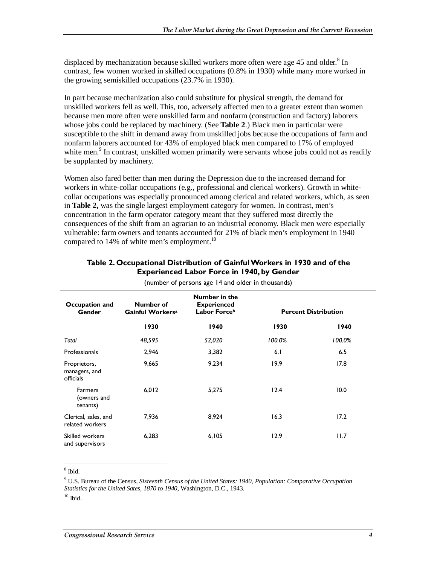displaced by mechanization because skilled workers more often were age 45 and older.<sup>8</sup> In contrast, few women worked in skilled occupations (0.8% in 1930) while many more worked in the growing semiskilled occupations (23.7% in 1930).

In part because mechanization also could substitute for physical strength, the demand for unskilled workers fell as well. This, too, adversely affected men to a greater extent than women because men more often were unskilled farm and nonfarm (construction and factory) laborers whose jobs could be replaced by machinery. (See **Table 2**.) Black men in particular were susceptible to the shift in demand away from unskilled jobs because the occupations of farm and nonfarm laborers accounted for 43% of employed black men compared to 17% of employed white men.<sup>9</sup> In contrast, unskilled women primarily were servants whose jobs could not as readily be supplanted by machinery.

Women also fared better than men during the Depression due to the increased demand for workers in white-collar occupations (e.g., professional and clerical workers). Growth in whitecollar occupations was especially pronounced among clerical and related workers, which, as seen in **Table 2,** was the single largest employment category for women. In contrast, men's concentration in the farm operator category meant that they suffered most directly the consequences of the shift from an agrarian to an industrial economy. Black men were especially vulnerable: farm owners and tenants accounted for 21% of black men's employment in 1940 compared to 14% of white men's employment.<sup>10</sup>

| Occupation and<br><b>Gender</b>            | Number of<br>Gainful Workers <sup>a</sup> | Number in the<br><b>Experienced</b><br>Labor Forceb |        | <b>Percent Distribution</b> |
|--------------------------------------------|-------------------------------------------|-----------------------------------------------------|--------|-----------------------------|
|                                            | 1930                                      | 1940                                                | 1930   | 1940                        |
| Total                                      | 48,595                                    | 52,020                                              | 100.0% | 100.0%                      |
| Professionals                              | 2,946                                     | 3,382                                               | 6.1    | 6.5                         |
| Proprietors,<br>managers, and<br>officials | 9,665                                     | 9,234                                               | 19.9   | 17.8                        |
| <b>Farmers</b><br>(owners and<br>tenants)  | 6,012                                     | 5,275                                               | 12.4   | 10.0                        |
| Clerical, sales, and<br>related workers    | 7,936                                     | 8,924                                               | 16.3   | 17.2                        |
| Skilled workers<br>and supervisors         | 6,283                                     | 6,105                                               | 12.9   | 11.7                        |

#### **Table 2. Occupational Distribution of Gainful Workers in 1930 and of the Experienced Labor Force in 1940, by Gender**

(number of persons age 14 and older in thousands)

 $\overline{\phantom{1}}^8$  Ibid.

9 U.S. Bureau of the Census, *Sixteenth Census of the United States: 1940, Population: Comparative Occupation Statistics for the United Sates, 1870 to 1940*, Washington, D.C., 1943.

 $10$  Ibid.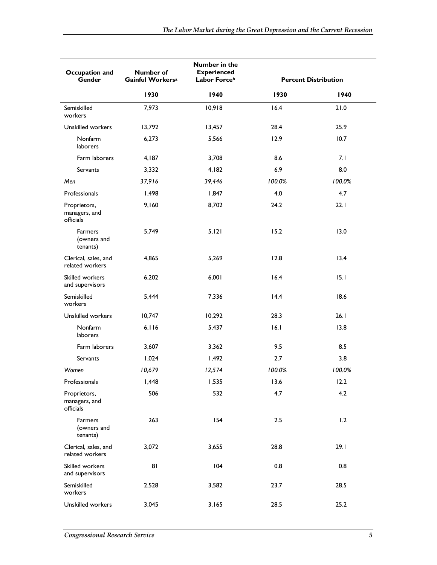| Occupation and<br>Gender                   | Number of<br>Gainful Workers <sup>a</sup> | Number in the<br><b>Experienced</b><br>Labor Forceb |        | <b>Percent Distribution</b> |
|--------------------------------------------|-------------------------------------------|-----------------------------------------------------|--------|-----------------------------|
|                                            | 1930                                      | 1940                                                | 1930   | 1940                        |
| Semiskilled<br>workers                     | 7,973                                     | 10,918                                              | 16.4   | 21.0                        |
| <b>Unskilled workers</b>                   | 13,792                                    | 13,457                                              | 28.4   | 25.9                        |
| Nonfarm<br>laborers                        | 6,273                                     | 5,566                                               | 12.9   | 10.7                        |
| Farm laborers                              | 4,187                                     | 3,708                                               | 8.6    | 7.1                         |
| Servants                                   | 3,332                                     | 4,182                                               | 6.9    | 8.0                         |
| Men                                        | 37,916                                    | 39,446                                              | 100.0% | 100.0%                      |
| Professionals                              | 1,498                                     | 1,847                                               | 4.0    | 4.7                         |
| Proprietors,<br>managers, and<br>officials | 9,160                                     | 8,702                                               | 24.2   | 22.1                        |
| <b>Farmers</b><br>(owners and<br>tenants)  | 5,749                                     | 5,121                                               | 15.2   | 13.0                        |
| Clerical, sales, and<br>related workers    | 4,865                                     | 5,269                                               | 12.8   | 13.4                        |
| Skilled workers<br>and supervisors         | 6,202                                     | 6,001                                               | 16.4   | 15.1                        |
| Semiskilled<br>workers                     | 5,444                                     | 7,336                                               | 14.4   | 18.6                        |
| Unskilled workers                          | 10,747                                    | 10,292                                              | 28.3   | 26.1                        |
| Nonfarm<br>laborers                        | 6,116                                     | 5,437                                               | 16.1   | 13.8                        |
| Farm laborers                              | 3,607                                     | 3,362                                               | 9.5    | 8.5                         |
| <b>Servants</b>                            | 1,024                                     | 1,492                                               | 2.7    | 3.8                         |
| Women                                      | 10,679                                    | 12,574                                              | 100.0% | 100.0%                      |
| Professionals                              | 1,448                                     | 1,535                                               | 13.6   | 12.2                        |
| Proprietors,<br>managers, and<br>officials | 506                                       | 532                                                 | 4.7    | 4.2                         |
| Farmers<br>(owners and<br>tenants)         | 263                                       | 154                                                 | 2.5    | 1.2                         |
| Clerical, sales, and<br>related workers    | 3,072                                     | 3,655                                               | 28.8   | 29.1                        |
| Skilled workers<br>and supervisors         | 81                                        | 104                                                 | 0.8    | 0.8                         |
| Semiskilled<br>workers                     | 2,528                                     | 3,582                                               | 23.7   | 28.5                        |
| Unskilled workers                          | 3,045                                     | 3,165                                               | 28.5   | 25.2                        |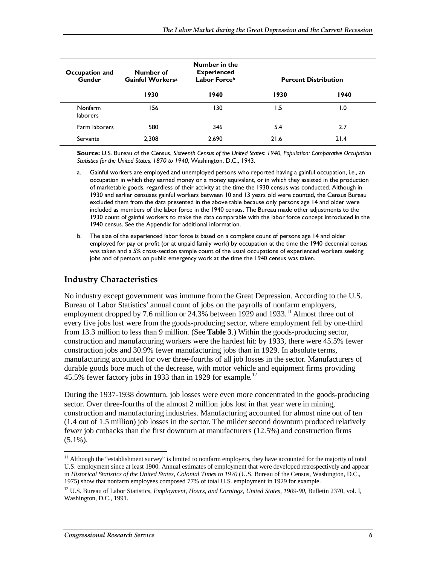| Number of<br>Occupation and<br><b>Gender</b><br>Gainful Workers <sup>a</sup> |       | <b>Number in the</b><br><b>Experienced</b><br>Labor Forceb | <b>Percent Distribution</b> |      |  |
|------------------------------------------------------------------------------|-------|------------------------------------------------------------|-----------------------------|------|--|
|                                                                              | 1930  | 1940                                                       | 1930                        | 1940 |  |
| Nonfarm<br><b>laborers</b>                                                   | 156   | 130                                                        | 1.5                         | 0. ا |  |
| Farm laborers                                                                | 580   | 346                                                        | 5.4                         | 2.7  |  |
| Servants                                                                     | 2.308 | 2,690                                                      | 21.6                        | 21.4 |  |

**Source:** U.S. Bureau of the Census, *Sixteenth Census of the United States: 1940, Population: Comparative Occupation Statistics for the United States, 1870 to 1940*, Washington, D.C., 1943.

- a. Gainful workers are employed and unemployed persons who reported having a gainful occupation, i.e., an occupation in which they earned money or a money equivalent, or in which they assisted in the production of marketable goods, regardless of their activity at the time the 1930 census was conducted. Although in 1930 and earlier censuses gainful workers between 10 and 13 years old were counted, the Census Bureau excluded them from the data presented in the above table because only persons age 14 and older were included as members of the labor force in the 1940 census. The Bureau made other adjustments to the 1930 count of gainful workers to make the data comparable with the labor force concept introduced in the 1940 census. See the Appendix for additional information.
- b. The size of the experienced labor force is based on a complete count of persons age 14 and older employed for pay or profit (or at unpaid family work) by occupation at the time the 1940 decennial census was taken and a 5% cross-section sample count of the usual occupations of experienced workers seeking jobs and of persons on public emergency work at the time the 1940 census was taken.

#### **Industry Characteristics**

No industry except government was immune from the Great Depression. According to the U.S. Bureau of Labor Statistics' annual count of jobs on the payrolls of nonfarm employers, employment dropped by 7.6 million or  $24.3\%$  between 1929 and 1933.<sup>11</sup> Almost three out of every five jobs lost were from the goods-producing sector, where employment fell by one-third from 13.3 million to less than 9 million. (See **Table 3**.) Within the goods-producing sector, construction and manufacturing workers were the hardest hit: by 1933, there were 45.5% fewer construction jobs and 30.9% fewer manufacturing jobs than in 1929. In absolute terms, manufacturing accounted for over three-fourths of all job losses in the sector. Manufacturers of durable goods bore much of the decrease, with motor vehicle and equipment firms providing 45.5% fewer factory jobs in 1933 than in 1929 for example.<sup>12</sup>

During the 1937-1938 downturn, job losses were even more concentrated in the goods-producing sector. Over three-fourths of the almost 2 million jobs lost in that year were in mining, construction and manufacturing industries. Manufacturing accounted for almost nine out of ten (1.4 out of 1.5 million) job losses in the sector. The milder second downturn produced relatively fewer job cutbacks than the first downturn at manufacturers (12.5%) and construction firms  $(5.1\%)$ .

-

<sup>&</sup>lt;sup>11</sup> Although the "establishment survey" is limited to nonfarm employers, they have accounted for the majority of total U.S. employment since at least 1900. Annual estimates of employment that were developed retrospectively and appear in *Historical Statistics of the United States, Colonial Times to 1970* (U.S. Bureau of the Census, Washington, D.C., 1975) show that nonfarm employees composed 77% of total U.S. employment in 1929 for example.

<sup>&</sup>lt;sup>12</sup> U.S. Bureau of Labor Statistics, *Employment, Hours, and Earnings, United States, 1909-90*, Bulletin 2370, vol. I, Washington, D.C., 1991.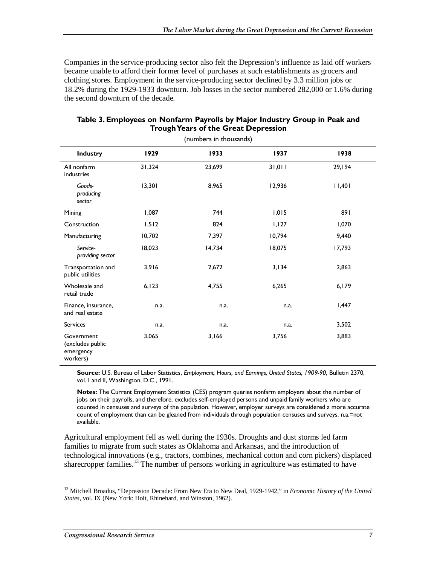Companies in the service-producing sector also felt the Depression's influence as laid off workers became unable to afford their former level of purchases at such establishments as grocers and clothing stores. Employment in the service-producing sector declined by 3.3 million jobs or 18.2% during the 1929-1933 downturn. Job losses in the sector numbered 282,000 or 1.6% during the second downturn of the decade.

| (numbers in thousands)                                  |        |        |        |        |
|---------------------------------------------------------|--------|--------|--------|--------|
| Industry                                                | 1929   | 1933   | 1937   | 1938   |
| All nonfarm<br>industries                               | 31,324 | 23,699 | 31,011 | 29,194 |
| Goods-<br>producing<br>sector                           | 13,301 | 8,965  | 12,936 | 1,40   |
| Mining                                                  | 1,087  | 744    | 1,015  | 891    |
| Construction                                            | 1,512  | 824    | 1,127  | 1,070  |
| Manufacturing                                           | 10,702 | 7,397  | 10,794 | 9,440  |
| Service-<br>providing sector                            | 18,023 | 14,734 | 18,075 | 17,793 |
| Transportation and<br>public utilities                  | 3,916  | 2,672  | 3,134  | 2,863  |
| Wholesale and<br>retail trade                           | 6, 123 | 4,755  | 6,265  | 6,179  |
| Finance, insurance,<br>and real estate                  | n.a.   | n.a.   | n.a.   | 1,447  |
| <b>Services</b>                                         | n.a.   | n.a.   | n.a.   | 3,502  |
| Government<br>(excludes public<br>emergency<br>workers) | 3,065  | 3,166  | 3,756  | 3,883  |

#### **Table 3. Employees on Nonfarm Payrolls by Major Industry Group in Peak and Trough Years of the Great Depression**

**Source:** U.S. Bureau of Labor Statistics, *Employment, Hours, and Earnings, United States, 1909-90*, Bulletin 2370, vol. I and II, Washington, D.C., 1991.

**Notes:** The Current Employment Statistics (CES) program queries nonfarm employers about the number of jobs on their payrolls, and therefore, excludes self-employed persons and unpaid family workers who are counted in censuses and surveys of the population. However, employer surveys are considered a more accurate count of employment than can be gleaned from individuals through population censuses and surveys. n.a.=not available.

Agricultural employment fell as well during the 1930s. Droughts and dust storms led farm families to migrate from such states as Oklahoma and Arkansas, and the introduction of technological innovations (e.g., tractors, combines, mechanical cotton and corn pickers) displaced sharecropper families.<sup>13</sup> The number of persons working in agriculture was estimated to have

-

<sup>13</sup> Mitchell Broadus, "Depression Decade: From New Era to New Deal, 1929-1942," in *Economic History of the United States*, vol. IX (New York: Holt, Rhinehard, and Winston, 1962).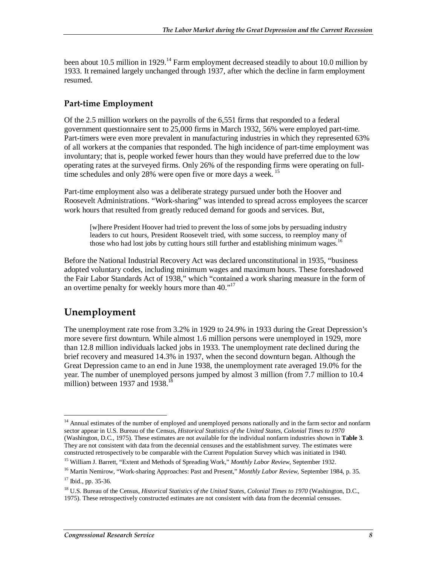been about 10.5 million in 1929.<sup>14</sup> Farm employment decreased steadily to about 10.0 million by 1933. It remained largely unchanged through 1937, after which the decline in farm employment resumed.

#### **Part-time Employment**

Of the 2.5 million workers on the payrolls of the 6,551 firms that responded to a federal government questionnaire sent to 25,000 firms in March 1932, 56% were employed part-time. Part-timers were even more prevalent in manufacturing industries in which they represented 63% of all workers at the companies that responded. The high incidence of part-time employment was involuntary; that is, people worked fewer hours than they would have preferred due to the low operating rates at the surveyed firms. Only 26% of the responding firms were operating on fulltime schedules and only 28% were open five or more days a week.<sup>15</sup>

Part-time employment also was a deliberate strategy pursued under both the Hoover and Roosevelt Administrations. "Work-sharing" was intended to spread across employees the scarcer work hours that resulted from greatly reduced demand for goods and services. But,

[w]here President Hoover had tried to prevent the loss of some jobs by persuading industry leaders to cut hours, President Roosevelt tried, with some success, to reemploy many of those who had lost jobs by cutting hours still further and establishing minimum wages.<sup>16</sup>

Before the National Industrial Recovery Act was declared unconstitutional in 1935, "business adopted voluntary codes, including minimum wages and maximum hours. These foreshadowed the Fair Labor Standards Act of 1938," which "contained a work sharing measure in the form of an overtime penalty for weekly hours more than 40."<sup>17</sup>

### **Unemployment**

<u>.</u>

The unemployment rate rose from 3.2% in 1929 to 24.9% in 1933 during the Great Depression's more severe first downturn. While almost 1.6 million persons were unemployed in 1929, more than 12.8 million individuals lacked jobs in 1933. The unemployment rate declined during the brief recovery and measured 14.3% in 1937, when the second downturn began. Although the Great Depression came to an end in June 1938, the unemployment rate averaged 19.0% for the year. The number of unemployed persons jumped by almost 3 million (from 7.7 million to 10.4 million) between 1937 and 1938.<sup>18</sup>

<sup>&</sup>lt;sup>14</sup> Annual estimates of the number of employed and unemployed persons nationally and in the farm sector and nonfarm sector appear in U.S. Bureau of the Census, *Historical Statistics of the United States, Colonial Times to 1970* (Washington, D.C., 1975). These estimates are not available for the individual nonfarm industries shown in **Table 3**. They are not consistent with data from the decennial censuses and the establishment survey. The estimates were constructed retrospectively to be comparable with the Current Population Survey which was initiated in 1940.

<sup>15</sup> William J. Barrett, "Extent and Methods of Spreading Work," *Monthly Labor Review*, September 1932.

<sup>16</sup> Martin Nemirow, "Work-sharing Approaches: Past and Present," *Monthly Labor Review*, September 1984, p. 35.  $17$  Ibid., pp. 35-36.

<sup>18</sup> U.S. Bureau of the Census, *Historical Statistics of the United States, Colonial Times to 1970* (Washington, D.C.,

<sup>1975).</sup> These retrospectively constructed estimates are not consistent with data from the decennial censuses.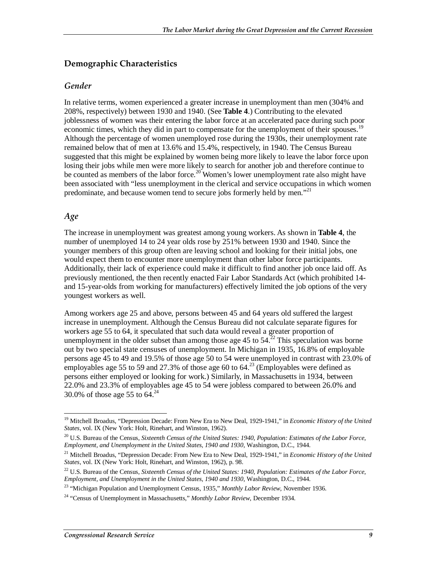#### **Demographic Characteristics**

#### *Gender*

In relative terms, women experienced a greater increase in unemployment than men (304% and 208%, respectively) between 1930 and 1940. (See **Table 4**.) Contributing to the elevated joblessness of women was their entering the labor force at an accelerated pace during such poor economic times, which they did in part to compensate for the unemployment of their spouses.<sup>19</sup> Although the percentage of women unemployed rose during the 1930s, their unemployment rate remained below that of men at 13.6% and 15.4%, respectively, in 1940. The Census Bureau suggested that this might be explained by women being more likely to leave the labor force upon losing their jobs while men were more likely to search for another job and therefore continue to be counted as members of the labor force.<sup>20</sup> Women's lower unemployment rate also might have been associated with "less unemployment in the clerical and service occupations in which women predominate, and because women tend to secure jobs formerly held by men."<sup>21</sup>

#### *Age*

The increase in unemployment was greatest among young workers. As shown in **Table 4**, the number of unemployed 14 to 24 year olds rose by 251% between 1930 and 1940. Since the younger members of this group often are leaving school and looking for their initial jobs, one would expect them to encounter more unemployment than other labor force participants. Additionally, their lack of experience could make it difficult to find another job once laid off. As previously mentioned, the then recently enacted Fair Labor Standards Act (which prohibited 14 and 15-year-olds from working for manufacturers) effectively limited the job options of the very youngest workers as well.

Among workers age 25 and above, persons between 45 and 64 years old suffered the largest increase in unemployment. Although the Census Bureau did not calculate separate figures for workers age 55 to 64, it speculated that such data would reveal a greater proportion of unemployment in the older subset than among those age 45 to  $54<sup>22</sup>$  This speculation was borne out by two special state censuses of unemployment. In Michigan in 1935, 16.8% of employable persons age 45 to 49 and 19.5% of those age 50 to 54 were unemployed in contrast with 23.0% of employables age 55 to 59 and 27.3% of those age 60 to 64.<sup>23</sup> (Employables were defined as persons either employed or looking for work.) Similarly, in Massachusetts in 1934, between 22.0% and 23.3% of employables age 45 to 54 were jobless compared to between 26.0% and 30.0% of those age 55 to  $64.^{24}$ 

<sup>-</sup><sup>19</sup> Mitchell Broadus, "Depression Decade: From New Era to New Deal, 1929-1941," in *Economic History of the United States*, vol. IX (New York: Holt, Rinehart, and Winston, 1962).

<sup>20</sup> U.S. Bureau of the Census, *Sixteenth Census of the United States: 1940, Population: Estimates of the Labor Force, Employment, and Unemployment in the United States, 1940 and 1930*, Washington, D.C., 1944.

<sup>21</sup> Mitchell Broadus, "Depression Decade: From New Era to New Deal, 1929-1941," in *Economic History of the United States*, vol. IX (New York: Holt, Rinehart, and Winston, 1962), p. 98.

<sup>&</sup>lt;sup>22</sup> U.S. Bureau of the Census, *Sixteenth Census of the United States: 1940, Population: Estimates of the Labor Force, Employment, and Unemployment in the United States, 1940 and 1930, Washington, D.C., 1944.* 

<sup>&</sup>lt;sup>23</sup> "Michigan Population and Unemployment Census, 1935," *Monthly Labor Review*, November 1936.

<sup>24 &</sup>quot;Census of Unemployment in Massachusetts," *Monthly Labor Review*, December 1934.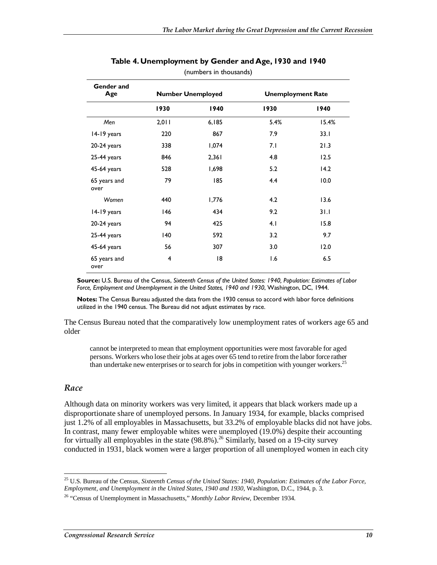| Gender and<br>Age    |                | <b>Number Unemployed</b> | <b>Unemployment Rate</b> |       |
|----------------------|----------------|--------------------------|--------------------------|-------|
|                      | 1930           | 1940                     | 1930                     | 1940  |
| Men                  | 2,011          | 6,185                    | 5.4%                     | 15.4% |
| 14-19 years          | 220            | 867                      | 7.9                      | 33.1  |
| $20-24$ years        | 338            | 1,074                    | 7.1                      | 21.3  |
| 25-44 years          | 846            | 2,361                    | 4.8                      | 12.5  |
| 45-64 years          | 528            | 1,698                    | 5.2                      | 14.2  |
| 65 years and<br>over | 79             | 185                      | 4.4                      | 10.0  |
| Women                | 440            | 1,776                    | 4.2                      | 13.6  |
| 14-19 years          | 146            | 434                      | 9.2                      | 31.1  |
| $20-24$ years        | 94             | 425                      | 4.1                      | 15.8  |
| 25-44 years          | 140            | 592                      | 3.2                      | 9.7   |
| 45-64 years          | 56             | 307                      | 3.0                      | 12.0  |
| 65 years and<br>over | $\overline{4}$ | 18                       | 1.6                      | 6.5   |

#### **Table 4. Unemployment by Gender and Age, 1930 and 1940**  (numbers in thousands)

**Source:** U.S. Bureau of the Census, *Sixteenth Census of the United States: 1940, Population: Estimates of Labor Force, Employment and Unemployment in the United States, 1940 and 1930*, Washington, DC, 1944.

**Notes:** The Census Bureau adjusted the data from the 1930 census to accord with labor force definitions utilized in the 1940 census. The Bureau did not adjust estimates by race.

The Census Bureau noted that the comparatively low unemployment rates of workers age 65 and older

cannot be interpreted to mean that employment opportunities were most favorable for aged persons. Workers who lose their jobs at ages over 65 tend to retire from the labor force rather than undertake new enterprises or to search for jobs in competition with younger workers.<sup>25</sup>

#### *Race*

Although data on minority workers was very limited, it appears that black workers made up a disproportionate share of unemployed persons. In January 1934, for example, blacks comprised just 1.2% of all employables in Massachusetts, but 33.2% of employable blacks did not have jobs. In contrast, many fewer employable whites were unemployed (19.0%) despite their accounting for virtually all employables in the state  $(98.8\%)$ .<sup>26</sup> Similarly, based on a 19-city survey conducted in 1931, black women were a larger proportion of all unemployed women in each city

<sup>-</sup>25 U.S. Bureau of the Census, *Sixteenth Census of the United States: 1940, Population: Estimates of the Labor Force, Employment, and Unemployment in the United States, 1940 and 1930*, Washington, D.C., 1944, p. 3.

<sup>26 &</sup>quot;Census of Unemployment in Massachusetts," *Monthly Labor Review*, December 1934.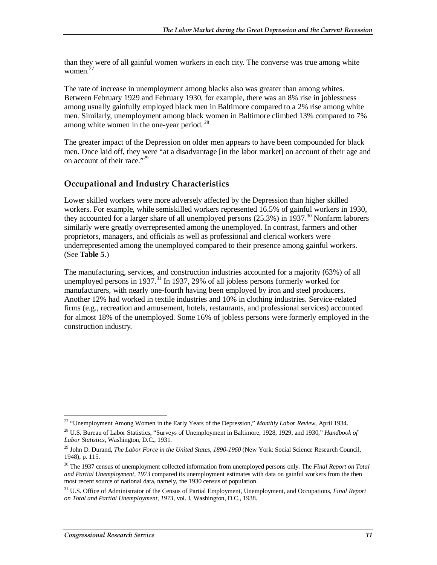than they were of all gainful women workers in each city. The converse was true among white women. $27$ 

The rate of increase in unemployment among blacks also was greater than among whites. Between February 1929 and February 1930, for example, there was an 8% rise in joblessness among usually gainfully employed black men in Baltimore compared to a 2% rise among white men. Similarly, unemployment among black women in Baltimore climbed 13% compared to 7% among white women in the one-year period.<sup>28</sup>

The greater impact of the Depression on older men appears to have been compounded for black men. Once laid off, they were "at a disadvantage [in the labor market] on account of their age and on account of their race."<sup>29</sup>

#### **Occupational and Industry Characteristics**

Lower skilled workers were more adversely affected by the Depression than higher skilled workers. For example, while semiskilled workers represented 16.5% of gainful workers in 1930, they accounted for a larger share of all unemployed persons  $(25.3%)$  in 1937.<sup>30</sup> Nonfarm laborers similarly were greatly overrepresented among the unemployed. In contrast, farmers and other proprietors, managers, and officials as well as professional and clerical workers were underrepresented among the unemployed compared to their presence among gainful workers. (See **Table 5**.)

The manufacturing, services, and construction industries accounted for a majority (63%) of all unemployed persons in 1937.<sup>31</sup> In 1937, 29% of all jobless persons formerly worked for manufacturers, with nearly one-fourth having been employed by iron and steel producers. Another 12% had worked in textile industries and 10% in clothing industries. Service-related firms (e.g., recreation and amusement, hotels, restaurants, and professional services) accounted for almost 18% of the unemployed. Some 16% of jobless persons were formerly employed in the construction industry.

<sup>&</sup>lt;u>.</u> 27 "Unemployment Among Women in the Early Years of the Depression," *Monthly Labor Review*, April 1934.

<sup>28</sup> U.S. Bureau of Labor Statistics, "Surveys of Unemployment in Baltimore, 1928, 1929, and 1930," *Handbook of Labor Statistics*, Washington, D.C., 1931.

<sup>29</sup> John D. Durand, *The Labor Force in the United States, 1890-1960* (New York: Social Science Research Council, 1948), p. 115.

<sup>30</sup> The 1937 census of unemployment collected information from unemployed persons only. The *Final Report on Total and Partial Unemployment, 1973* compared its unemployment estimates with data on gainful workers from the then most recent source of national data, namely, the 1930 census of population.

<sup>31</sup> U.S. Office of Administrator of the Census of Partial Employment, Unemployment, and Occupations, *Final Report on Total and Partial Unemployment, 1973*, vol. I, Washington, D.C., 1938.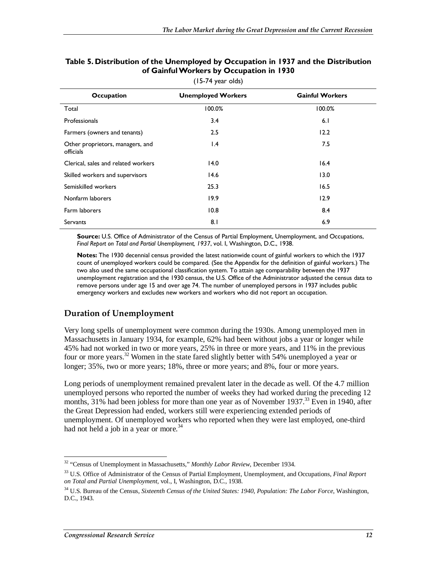| <b>Occupation</b>                             | <b>Unemployed Workers</b> | <b>Gainful Workers</b> |
|-----------------------------------------------|---------------------------|------------------------|
| Total                                         | 100.0%                    | 100.0%                 |
| Professionals                                 | 3.4                       | 6.1                    |
| Farmers (owners and tenants)                  | 2.5                       | 12.2                   |
| Other proprietors, managers, and<br>officials | $\mathsf{I}$ .4           | 7.5                    |
| Clerical, sales and related workers           | 14.0                      | 16.4                   |
| Skilled workers and supervisors               | 14.6                      | 13.0                   |
| Semiskilled workers                           | 25.3                      | 16.5                   |
| Nonfarm laborers                              | 19.9                      | 12.9                   |
| Farm laborers                                 | 10.8                      | 8.4                    |
| <b>Servants</b>                               | 8.1                       | 6.9                    |

#### **Table 5. Distribution of the Unemployed by Occupation in 1937 and the Distribution of Gainful Workers by Occupation in 1930**

(15-74 year olds)

Source: U.S. Office of Administrator of the Census of Partial Employment, Unemployment, and Occupations, *Final Report on Total and Partial Unemployment, 1937*, vol. I, Washington, D.C., 1938.

**Notes:** The 1930 decennial census provided the latest nationwide count of gainful workers to which the 1937 count of unemployed workers could be compared. (See the Appendix for the definition of gainful workers.) The two also used the same occupational classification system. To attain age comparability between the 1937 unemployment registration and the 1930 census, the U.S. Office of the Administrator adjusted the census data to remove persons under age 15 and over age 74. The number of unemployed persons in 1937 includes public emergency workers and excludes new workers and workers who did not report an occupation.

#### **Duration of Unemployment**

Very long spells of unemployment were common during the 1930s. Among unemployed men in Massachusetts in January 1934, for example, 62% had been without jobs a year or longer while 45% had not worked in two or more years, 25% in three or more years, and 11% in the previous four or more years.<sup>32</sup> Women in the state fared slightly better with 54% unemployed a year or longer; 35%, two or more years; 18%, three or more years; and 8%, four or more years.

Long periods of unemployment remained prevalent later in the decade as well. Of the 4.7 million unemployed persons who reported the number of weeks they had worked during the preceding 12 months, 31% had been jobless for more than one year as of November 1937.<sup>33</sup> Even in 1940, after the Great Depression had ended, workers still were experiencing extended periods of unemployment. Of unemployed workers who reported when they were last employed, one-third had not held a job in a year or more.<sup>34</sup>

 $\overline{a}$ 32 "Census of Unemployment in Massachusetts," *Monthly Labor Review*, December 1934.

<sup>33</sup> U.S. Office of Administrator of the Census of Partial Employment, Unemployment, and Occupations, *Final Report on Total and Partial Unemployment,* vol., I, Washington, D.C., 1938.

<sup>34</sup> U.S. Bureau of the Census, *Sixteenth Census of the United States: 1940, Population: The Labor Force*, Washington, D.C., 1943.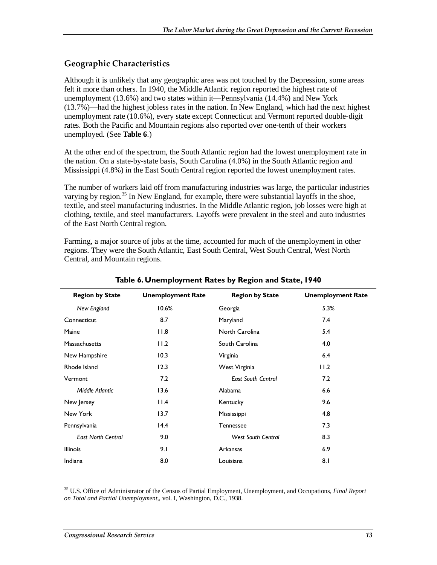#### **Geographic Characteristics**

Although it is unlikely that any geographic area was not touched by the Depression, some areas felt it more than others. In 1940, the Middle Atlantic region reported the highest rate of unemployment (13.6%) and two states within it—Pennsylvania (14.4%) and New York (13.7%)—had the highest jobless rates in the nation. In New England, which had the next highest unemployment rate (10.6%), every state except Connecticut and Vermont reported double-digit rates. Both the Pacific and Mountain regions also reported over one-tenth of their workers unemployed. (See **Table 6**.)

At the other end of the spectrum, the South Atlantic region had the lowest unemployment rate in the nation. On a state-by-state basis, South Carolina (4.0%) in the South Atlantic region and Mississippi (4.8%) in the East South Central region reported the lowest unemployment rates.

The number of workers laid off from manufacturing industries was large, the particular industries varying by region.<sup>35</sup> In New England, for example, there were substantial layoffs in the shoe, textile, and steel manufacturing industries. In the Middle Atlantic region, job losses were high at clothing, textile, and steel manufacturers. Layoffs were prevalent in the steel and auto industries of the East North Central region.

Farming, a major source of jobs at the time, accounted for much of the unemployment in other regions. They were the South Atlantic, East South Central, West South Central, West North Central, and Mountain regions.

| <b>Region by State</b>    | <b>Unemployment Rate</b> | <b>Region by State</b>    | <b>Unemployment Rate</b> |
|---------------------------|--------------------------|---------------------------|--------------------------|
| New England               | 10.6%                    | Georgia                   | 5.3%                     |
| Connecticut               | 8.7                      | Maryland                  | 7.4                      |
| Maine                     | 11.8                     | North Carolina            | 5.4                      |
| <b>Massachusetts</b>      | 11.2                     | South Carolina            | 4.0                      |
| New Hampshire             | 10.3                     | Virginia                  | 6.4                      |
| Rhode Island              | 12.3                     | West Virginia             | 11.2                     |
| Vermont                   | 7.2                      | <b>East South Central</b> | 7.2                      |
| Middle Atlantic           | 13.6                     | Alabama                   | 6.6                      |
| New Jersey                | $  \cdot  $ .4           | Kentucky                  | 9.6                      |
| New York                  | 13.7                     | Mississippi               | 4.8                      |
| Pennsylvania              | 14.4                     | Tennessee                 | 7.3                      |
| <b>East North Central</b> | 9.0                      | <b>West South Central</b> | 8.3                      |
| <b>Illinois</b>           | 9.1                      | Arkansas                  | 6.9                      |
| Indiana                   | 8.0                      | Louisiana                 | 8.1                      |

#### **Table 6. Unemployment Rates by Region and State, 1940**

-

<sup>35</sup> U.S. Office of Administrator of the Census of Partial Employment, Unemployment, and Occupations, *Final Report on Total and Partial Unemployment,*, vol. I, Washington, D.C., 1938.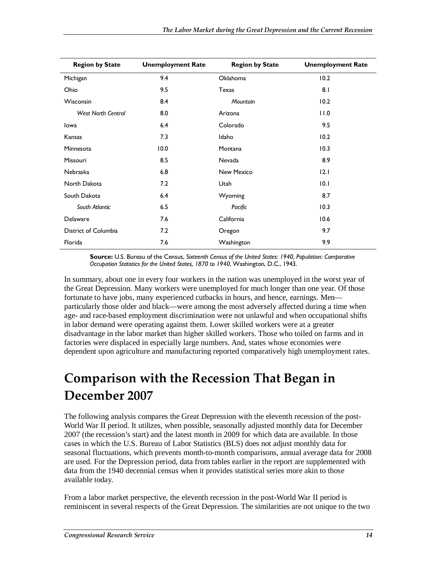| <b>Region by State</b>    | <b>Unemployment Rate</b> | <b>Region by State</b> | <b>Unemployment Rate</b> |
|---------------------------|--------------------------|------------------------|--------------------------|
| Michigan                  | 9.4                      | <b>Oklahoma</b>        | 10.2                     |
| Ohio                      | 9.5                      | Texas                  | 8.1                      |
| Wisconsin                 | 8.4                      | Mountain               | 10.2                     |
| <b>West North Central</b> | 8.0                      | Arizona                | 0.11                     |
| lowa                      | 6.4                      | Colorado               | 9.5                      |
| Kansas                    | 7.3                      | Idaho                  | 10.2                     |
| Minnesota                 | 10.0                     | Montana                | 10.3                     |
| Missouri                  | 8.5                      | Nevada                 | 8.9                      |
| <b>Nebraska</b>           | 6.8                      | New Mexico             | 12.1                     |
| North Dakota              | 7.2                      | Utah                   | 10.1                     |
| South Dakota              | 6.4                      | Wyoming                | 8.7                      |
| South Atlantic            | 6.5                      | Pacific                | 10.3                     |
| Delaware                  | 7.6                      | California             | 10.6                     |
| District of Columbia      | 7.2                      | Oregon                 | 9.7                      |
| Florida                   | 7.6                      | Washington             | 9.9                      |

**Source:** U.S. Bureau of the Census, *Sixteenth Census of the United States: 1940, Population: Comparative Occupation Statistics for the United States, 1870 to 1940*, Washington, D.C., 1943.

In summary, about one in every four workers in the nation was unemployed in the worst year of the Great Depression. Many workers were unemployed for much longer than one year. Of those fortunate to have jobs, many experienced cutbacks in hours, and hence, earnings. Men particularly those older and black—were among the most adversely affected during a time when age- and race-based employment discrimination were not unlawful and when occupational shifts in labor demand were operating against them. Lower skilled workers were at a greater disadvantage in the labor market than higher skilled workers. Those who toiled on farms and in factories were displaced in especially large numbers. And, states whose economies were dependent upon agriculture and manufacturing reported comparatively high unemployment rates.

## **Comparison with the Recession That Began in December 2007**

The following analysis compares the Great Depression with the eleventh recession of the post-World War II period. It utilizes, when possible, seasonally adjusted monthly data for December 2007 (the recession's start) and the latest month in 2009 for which data are available. In those cases in which the U.S. Bureau of Labor Statistics (BLS) does not adjust monthly data for seasonal fluctuations, which prevents month-to-month comparisons, annual average data for 2008 are used. For the Depression period, data from tables earlier in the report are supplemented with data from the 1940 decennial census when it provides statistical series more akin to those available today.

From a labor market perspective, the eleventh recession in the post-World War II period is reminiscent in several respects of the Great Depression. The similarities are not unique to the two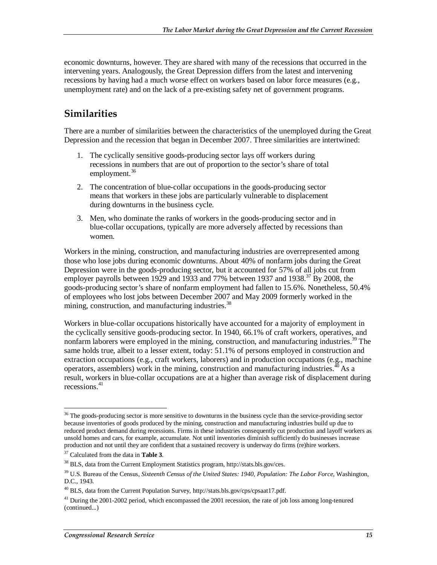economic downturns, however. They are shared with many of the recessions that occurred in the intervening years. Analogously, the Great Depression differs from the latest and intervening recessions by having had a much worse effect on workers based on labor force measures (e.g., unemployment rate) and on the lack of a pre-existing safety net of government programs.

### **Similarities**

There are a number of similarities between the characteristics of the unemployed during the Great Depression and the recession that began in December 2007. Three similarities are intertwined:

- 1. The cyclically sensitive goods-producing sector lays off workers during recessions in numbers that are out of proportion to the sector's share of total employment.<sup>36</sup>
- 2. The concentration of blue-collar occupations in the goods-producing sector means that workers in these jobs are particularly vulnerable to displacement during downturns in the business cycle.
- 3. Men, who dominate the ranks of workers in the goods-producing sector and in blue-collar occupations, typically are more adversely affected by recessions than women.

Workers in the mining, construction, and manufacturing industries are overrepresented among those who lose jobs during economic downturns. About 40% of nonfarm jobs during the Great Depression were in the goods-producing sector, but it accounted for 57% of all jobs cut from employer payrolls between 1929 and 1933 and 77% between 1937 and 1938.<sup>37</sup> By 2008, the goods-producing sector's share of nonfarm employment had fallen to 15.6%. Nonetheless, 50.4% of employees who lost jobs between December 2007 and May 2009 formerly worked in the mining, construction, and manufacturing industries. $38$ 

Workers in blue-collar occupations historically have accounted for a majority of employment in the cyclically sensitive goods-producing sector. In 1940, 66.1% of craft workers, operatives, and nonfarm laborers were employed in the mining, construction, and manufacturing industries.<sup>39</sup> The same holds true, albeit to a lesser extent, today: 51.1% of persons employed in construction and extraction occupations (e.g., craft workers, laborers) and in production occupations (e.g., machine operators, assemblers) work in the mining, construction and manufacturing industries.  $40$  As a result, workers in blue-collar occupations are at a higher than average risk of displacement during recessions<sup>41</sup>

<sup>-</sup><sup>36</sup> The goods-producing sector is more sensitive to downturns in the business cycle than the service-providing sector because inventories of goods produced by the mining, construction and manufacturing industries build up due to reduced product demand during recessions. Firms in these industries consequently cut production and layoff workers as unsold homes and cars, for example, accumulate. Not until inventories diminish sufficiently do businesses increase production and not until they are confident that a sustained recovery is underway do firms (re)hire workers.

<sup>&</sup>lt;sup>37</sup> Calculated from the data in **Table 3**.<br><sup>38</sup> BLS, data from the Current Employment Statistics program, http://stats.bls.gov/ces.

<sup>39</sup> U.S. Bureau of the Census, *Sixteenth Census of the United States: 1940, Population: The Labor Force*, Washington, D.C., 1943.

<sup>40</sup> BLS, data from the Current Population Survey, http://stats.bls.gov/cps/cpsaat17.pdf.

<sup>&</sup>lt;sup>41</sup> During the 2001-2002 period, which encompassed the 2001 recession, the rate of job loss among long-tenured (continued...)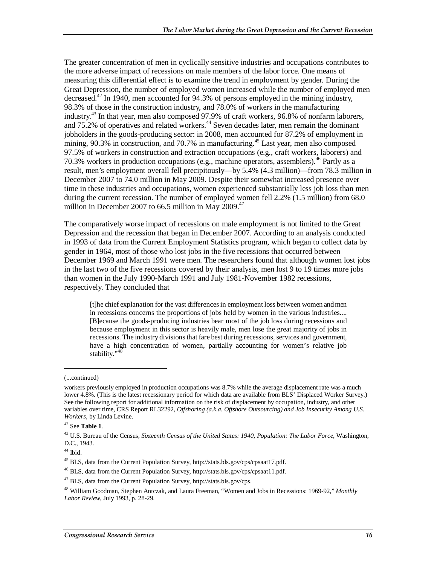The greater concentration of men in cyclically sensitive industries and occupations contributes to the more adverse impact of recessions on male members of the labor force. One means of measuring this differential effect is to examine the trend in employment by gender. During the Great Depression, the number of employed women increased while the number of employed men decreased.<sup>42</sup> In 1940, men accounted for 94.3% of persons employed in the mining industry, 98.3% of those in the construction industry, and 78.0% of workers in the manufacturing industry.<sup>43</sup> In that year, men also composed 97.9% of craft workers, 96.8% of nonfarm laborers, and 75.2% of operatives and related workers.<sup>44</sup> Seven decades later, men remain the dominant jobholders in the goods-producing sector: in 2008, men accounted for 87.2% of employment in mining, 90.3% in construction, and 70.7% in manufacturing.<sup>45</sup> Last year, men also composed 97.5% of workers in construction and extraction occupations (e.g., craft workers, laborers) and 70.3% workers in production occupations (e.g., machine operators, assemblers).<sup>46</sup> Partly as a result, men's employment overall fell precipitously—by 5.4% (4.3 million)—from 78.3 million in December 2007 to 74.0 million in May 2009. Despite their somewhat increased presence over time in these industries and occupations, women experienced substantially less job loss than men during the current recession. The number of employed women fell 2.2% (1.5 million) from 68.0 million in December 2007 to 66.5 million in May 2009. $47$ 

The comparatively worse impact of recessions on male employment is not limited to the Great Depression and the recession that began in December 2007. According to an analysis conducted in 1993 of data from the Current Employment Statistics program, which began to collect data by gender in 1964, most of those who lost jobs in the five recessions that occurred between December 1969 and March 1991 were men. The researchers found that although women lost jobs in the last two of the five recessions covered by their analysis, men lost 9 to 19 times more jobs than women in the July 1990-March 1991 and July 1981-November 1982 recessions, respectively. They concluded that

[t]he chief explanation for the vast differences in employment loss between women and men in recessions concerns the proportions of jobs held by women in the various industries.... [B]ecause the goods-producing industries bear most of the job loss during recessions and because employment in this sector is heavily male, men lose the great majority of jobs in recessions. The industry divisions that fare best during recessions, services and government, have a high concentration of women, partially accounting for women's relative job stability."<sup>48</sup>

1

<sup>(...</sup>continued)

workers previously employed in production occupations was 8.7% while the average displacement rate was a much lower 4.8%. (This is the latest recessionary period for which data are available from BLS' Displaced Worker Survey.) See the following report for additional information on the risk of displacement by occupation, industry, and other variables over time, CRS Report RL32292, *Offshoring (a.k.a. Offshore Outsourcing) and Job Insecurity Among U.S. Workers*, by Linda Levine.

<sup>42</sup> See **Table 1**.

<sup>43</sup> U.S. Bureau of the Census, *Sixteenth Census of the United States: 1940, Population: The Labor Force*, Washington, D.C., 1943.

 $44$  Ibid.

<sup>45</sup> BLS, data from the Current Population Survey, http://stats.bls.gov/cps/cpsaat17.pdf.

<sup>46</sup> BLS, data from the Current Population Survey, http://stats.bls.gov/cps/cpsaat11.pdf.

<sup>47</sup> BLS, data from the Current Population Survey, http://stats.bls.gov/cps.

<sup>48</sup> William Goodman, Stephen Antczak, and Laura Freeman, "Women and Jobs in Recessions: 1969-92," *Monthly Labor Review*, July 1993, p. 28-29.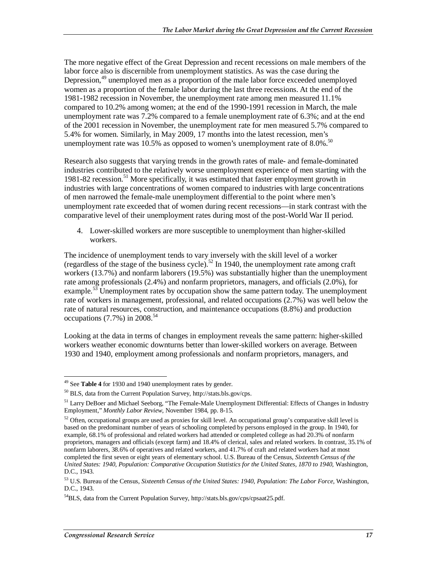The more negative effect of the Great Depression and recent recessions on male members of the labor force also is discernible from unemployment statistics. As was the case during the Depression,<sup>49</sup> unemployed men as a proportion of the male labor force exceeded unemployed women as a proportion of the female labor during the last three recessions. At the end of the 1981-1982 recession in November, the unemployment rate among men measured 11.1% compared to 10.2% among women; at the end of the 1990-1991 recession in March, the male unemployment rate was 7.2% compared to a female unemployment rate of 6.3%; and at the end of the 2001 recession in November, the unemployment rate for men measured 5.7% compared to 5.4% for women. Similarly, in May 2009, 17 months into the latest recession, men's unemployment rate was 10.5% as opposed to women's unemployment rate of  $8.0\%$ .<sup>50</sup>

Research also suggests that varying trends in the growth rates of male- and female-dominated industries contributed to the relatively worse unemployment experience of men starting with the 1981-82 recession.<sup>51</sup> More specifically, it was estimated that faster employment growth in industries with large concentrations of women compared to industries with large concentrations of men narrowed the female-male unemployment differential to the point where men's unemployment rate exceeded that of women during recent recessions—in stark contrast with the comparative level of their unemployment rates during most of the post-World War II period.

4. Lower-skilled workers are more susceptible to unemployment than higher-skilled workers.

The incidence of unemployment tends to vary inversely with the skill level of a worker (regardless of the stage of the business cycle).<sup>52</sup> In 1940, the unemployment rate among craft workers (13.7%) and nonfarm laborers (19.5%) was substantially higher than the unemployment rate among professionals (2.4%) and nonfarm proprietors, managers, and officials (2.0%), for example.<sup>53</sup> Unemployment rates by occupation show the same pattern today. The unemployment rate of workers in management, professional, and related occupations (2.7%) was well below the rate of natural resources, construction, and maintenance occupations (8.8%) and production occupations (7.7%) in  $2008^{54}$ 

Looking at the data in terms of changes in employment reveals the same pattern: higher-skilled workers weather economic downturns better than lower-skilled workers on average. Between 1930 and 1940, employment among professionals and nonfarm proprietors, managers, and

<sup>&</sup>lt;u>.</u> 49 See **Table 4** for 1930 and 1940 unemployment rates by gender.

<sup>50</sup> BLS, data from the Current Population Survey, http://stats.bls.gov/cps.

<sup>&</sup>lt;sup>51</sup> Larry DeBoer and Michael Seeborg, "The Female-Male Unemployment Differential: Effects of Changes in Industry Employment," *Monthly Labor Review*, November 1984, pp. 8-15.

 $52$  Often, occupational groups are used as proxies for skill level. An occupational group's comparative skill level is based on the predominant number of years of schooling completed by persons employed in the group. In 1940, for example, 68.1% of professional and related workers had attended or completed college as had 20.3% of nonfarm proprietors, managers and officials (except farm) and 18.4% of clerical, sales and related workers. In contrast, 35.1% of nonfarm laborers, 38.6% of operatives and related workers, and 41.7% of craft and related workers had at most completed the first seven or eight years of elementary school. U.S. Bureau of the Census, *Sixteenth Census of the United States: 1940, Population: Comparative Occupation Statistics for the United States, 1870 to 1940*, Washington, D.C., 1943.

<sup>53</sup> U.S. Bureau of the Census, *Sixteenth Census of the United States: 1940, Population: The Labor Force*, Washington, D.C., 1943.

<sup>&</sup>lt;sup>54</sup>BLS, data from the Current Population Survey, http://stats.bls.gov/cps/cpsaat25.pdf.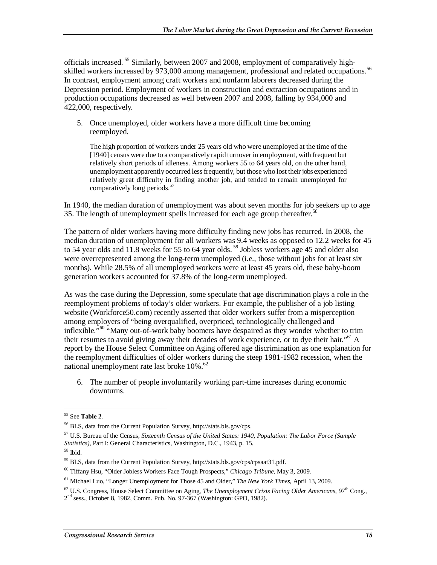officials increased.<sup>55</sup> Similarly, between 2007 and 2008, employment of comparatively highskilled workers increased by 973,000 among management, professional and related occupations.<sup>56</sup> In contrast, employment among craft workers and nonfarm laborers decreased during the Depression period. Employment of workers in construction and extraction occupations and in production occupations decreased as well between 2007 and 2008, falling by 934,000 and 422,000, respectively.

5. Once unemployed, older workers have a more difficult time becoming reemployed.

The high proportion of workers under 25 years old who were unemployed at the time of the [1940] census were due to a comparatively rapid turnover in employment, with frequent but relatively short periods of idleness. Among workers 55 to 64 years old, on the other hand, unemployment apparently occurred less frequently, but those who lost their jobs experienced relatively great difficulty in finding another job, and tended to remain unemployed for comparatively long periods.<sup>57</sup>

In 1940, the median duration of unemployment was about seven months for job seekers up to age 35. The length of unemployment spells increased for each age group thereafter.<sup>58</sup>

The pattern of older workers having more difficulty finding new jobs has recurred. In 2008, the median duration of unemployment for all workers was 9.4 weeks as opposed to 12.2 weeks for 45 to 54 year olds and 11.8 weeks for 55 to 64 year olds.<sup>59</sup> Jobless workers age 45 and older also were overrepresented among the long-term unemployed (i.e., those without jobs for at least six months). While 28.5% of all unemployed workers were at least 45 years old, these baby-boom generation workers accounted for 37.8% of the long-term unemployed.

As was the case during the Depression, some speculate that age discrimination plays a role in the reemployment problems of today's older workers. For example, the publisher of a job listing website (Workforce50.com) recently asserted that older workers suffer from a misperception among employers of "being overqualified, overpriced, technologically challenged and inflexible.<sup>"60</sup> "Many out-of-work baby boomers have despaired as they wonder whether to trim their resumes to avoid giving away their decades of work experience, or to dye their hair."<sup>61</sup> A report by the House Select Committee on Aging offered age discrimination as one explanation for the reemployment difficulties of older workers during the steep 1981-1982 recession, when the national unemployment rate last broke  $10\%$ .<sup>62</sup>

6. The number of people involuntarily working part-time increases during economic downturns.

<sup>-</sup>55 See **Table 2**.

<sup>56</sup> BLS, data from the Current Population Survey, http://stats.bls.gov/cps.

<sup>57</sup> U.S. Bureau of the Census, *Sixteenth Census of the United States: 1940, Population: The Labor Force (Sample Statistics)*, Part I: General Characteristics, Washington, D.C., 1943, p. 15. 58 Ibid.

<sup>59</sup> BLS, data from the Current Population Survey, http://stats.bls.gov/cps/cpsaat31.pdf.

<sup>60</sup> Tiffany Hsu, "Older Jobless Workers Face Tough Prospects," *Chicago Tribune*, May 3, 2009.

<sup>61</sup> Michael Luo, "Longer Unemployment for Those 45 and Older," *The New York Times*, April 13, 2009.

<sup>&</sup>lt;sup>62</sup> U.S. Congress, House Select Committee on Aging, *The Unemployment Crisis Facing Older Americans*, 97<sup>th</sup> Cong.,  $2<sup>nd</sup>$  sess., October 8, 1982, Comm. Pub. No. 97-367 (Washington: GPO, 1982).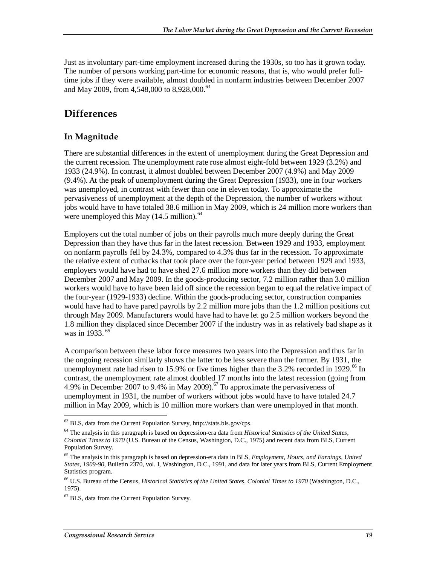Just as involuntary part-time employment increased during the 1930s, so too has it grown today. The number of persons working part-time for economic reasons, that is, who would prefer fulltime jobs if they were available, almost doubled in nonfarm industries between December 2007 and May 2009, from 4,548,000 to 8,928,000.<sup>63</sup>

### **Differences**

#### **In Magnitude**

There are substantial differences in the extent of unemployment during the Great Depression and the current recession. The unemployment rate rose almost eight-fold between 1929 (3.2%) and 1933 (24.9%). In contrast, it almost doubled between December 2007 (4.9%) and May 2009 (9.4%). At the peak of unemployment during the Great Depression (1933), one in four workers was unemployed, in contrast with fewer than one in eleven today. To approximate the pervasiveness of unemployment at the depth of the Depression, the number of workers without jobs would have to have totaled 38.6 million in May 2009, which is 24 million more workers than were unemployed this May  $(14.5 \text{ million})^{64}$ 

Employers cut the total number of jobs on their payrolls much more deeply during the Great Depression than they have thus far in the latest recession. Between 1929 and 1933, employment on nonfarm payrolls fell by 24.3%, compared to 4.3% thus far in the recession. To approximate the relative extent of cutbacks that took place over the four-year period between 1929 and 1933, employers would have had to have shed 27.6 million more workers than they did between December 2007 and May 2009. In the goods**-**producing sector, 7.2 million rather than 3.0 million workers would have to have been laid off since the recession began to equal the relative impact of the four-year (1929-1933) decline. Within the goods-producing sector, construction companies would have had to have pared payrolls by 2.2 million more jobs than the 1.2 million positions cut through May 2009. Manufacturers would have had to have let go 2.5 million workers beyond the 1.8 million they displaced since December 2007 if the industry was in as relatively bad shape as it was in 1933.<sup>65</sup>

A comparison between these labor force measures two years into the Depression and thus far in the ongoing recession similarly shows the latter to be less severe than the former. By 1931, the unemployment rate had risen to 15.9% or five times higher than the 3.2% recorded in 1929.<sup>66</sup> In contrast, the unemployment rate almost doubled 17 months into the latest recession (going from 4.9% in December 2007 to 9.4% in May 2009).<sup>67</sup> To approximate the pervasiveness of unemployment in 1931, the number of workers without jobs would have to have totaled 24.7 million in May 2009, which is 10 million more workers than were unemployed in that month.

<u>.</u>

 $63$  BLS, data from the Current Population Survey, http://stats.bls.gov/cps.

<sup>64</sup> The analysis in this paragraph is based on depression-era data from *Historical Statistics of the United States, Colonial Times to 1970* (U.S. Bureau of the Census, Washington, D.C., 1975) and recent data from BLS, Current Population Survey.

<sup>65</sup> The analysis in this paragraph is based on depression-era data in BLS, *Employment, Hours, and Earnings, United States, 1909-90*, Bulletin 2370, vol. I, Washington, D.C., 1991, and data for later years from BLS, Current Employment Statistics program.

<sup>66</sup> U.S. Bureau of the Census, *Historical Statistics of the United States, Colonial Times to 1970* (Washington, D.C., 1975).

<sup>67</sup> BLS, data from the Current Population Survey.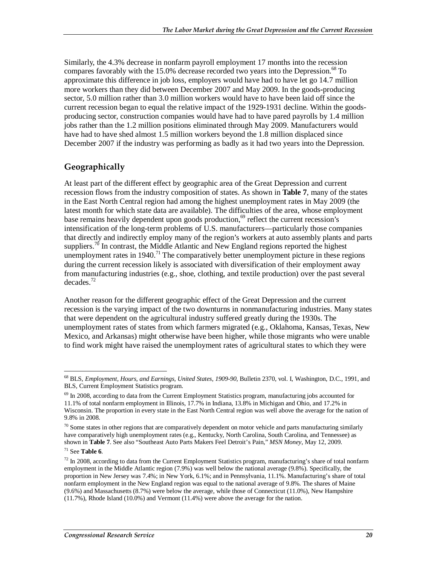Similarly, the 4.3% decrease in nonfarm payroll employment 17 months into the recession compares favorably with the 15.0% decrease recorded two years into the Depression.<sup>68</sup> To approximate this difference in job loss, employers would have had to have let go 14.7 million more workers than they did between December 2007 and May 2009. In the goods**-**producing sector, 5.0 million rather than 3.0 million workers would have to have been laid off since the current recession began to equal the relative impact of the 1929-1931 decline. Within the goodsproducing sector, construction companies would have had to have pared payrolls by 1.4 million jobs rather than the 1.2 million positions eliminated through May 2009. Manufacturers would have had to have shed almost 1.5 million workers beyond the 1.8 million displaced since December 2007 if the industry was performing as badly as it had two years into the Depression.

### **Geographically**

At least part of the different effect by geographic area of the Great Depression and current recession flows from the industry composition of states. As shown in **Table 7**, many of the states in the East North Central region had among the highest unemployment rates in May 2009 (the latest month for which state data are available). The difficulties of the area, whose employment base remains heavily dependent upon goods production,<sup>69</sup> reflect the current recession's intensification of the long-term problems of U.S. manufacturers—particularly those companies that directly and indirectly employ many of the region's workers at auto assembly plants and parts suppliers.<sup>70</sup> In contrast, the Middle Atlantic and New England regions reported the highest unemployment rates in  $1940$ .<sup>71</sup> The comparatively better unemployment picture in these regions during the current recession likely is associated with diversification of their employment away from manufacturing industries (e.g., shoe, clothing, and textile production) over the past several  $decades.<sup>72</sup>$ 

Another reason for the different geographic effect of the Great Depression and the current recession is the varying impact of the two downturns in nonmanufacturing industries. Many states that were dependent on the agricultural industry suffered greatly during the 1930s. The unemployment rates of states from which farmers migrated (e.g., Oklahoma, Kansas, Texas, New Mexico, and Arkansas) might otherwise have been higher, while those migrants who were unable to find work might have raised the unemployment rates of agricultural states to which they were

<sup>-</sup>68 BLS, *Employment, Hours, and Earnings, United States, 1909-90*, Bulletin 2370, vol. I, Washington, D.C., 1991, and BLS, Current Employment Statistics program.

<sup>&</sup>lt;sup>69</sup> In 2008, according to data from the Current Employment Statistics program, manufacturing jobs accounted for 11.1% of total nonfarm employment in Illinois, 17.7% in Indiana, 13.8% in Michigan and Ohio, and 17.2% in Wisconsin. The proportion in every state in the East North Central region was well above the average for the nation of 9.8% in 2008.

 $70$  Some states in other regions that are comparatively dependent on motor vehicle and parts manufacturing similarly have comparatively high unemployment rates (e.g., Kentucky, North Carolina, South Carolina, and Tennessee) as shown in **Table 7**. See also "Southeast Auto Parts Makers Feel Detroit's Pain," *MSN Money*, May 12, 2009.

<sup>71</sup> See **Table 6**.

 $72$  In 2008, according to data from the Current Employment Statistics program, manufacturing's share of total nonfarm employment in the Middle Atlantic region (7.9%) was well below the national average (9.8%). Specifically, the proportion in New Jersey was 7.4%; in New York, 6.1%; and in Pennsylvania, 11.1%. Manufacturing's share of total nonfarm employment in the New England region was equal to the national average of 9.8%. The shares of Maine (9.6%) and Massachusetts (8.7%) were below the average, while those of Connecticut (11.0%), New Hampshire (11.7%), Rhode Island (10.0%) and Vermont (11.4%) were above the average for the nation.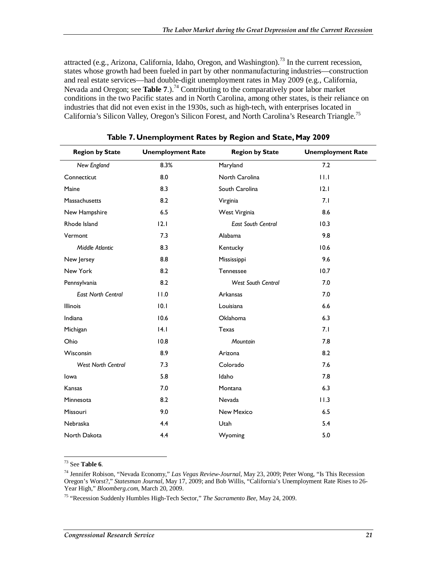attracted (e.g., Arizona, California, Idaho, Oregon, and Washington).<sup>73</sup> In the current recession, states whose growth had been fueled in part by other nonmanufacturing industries—construction and real estate services—had double-digit unemployment rates in May 2009 (e.g., California, Nevada and Oregon; see **Table 7**.).<sup>74</sup> Contributing to the comparatively poor labor market conditions in the two Pacific states and in North Carolina, among other states, is their reliance on industries that did not even exist in the 1930s, such as high-tech, with enterprises located in California's Silicon Valley, Oregon's Silicon Forest, and North Carolina's Research Triangle.<sup>75</sup>

| 8.3%<br>7.2<br>New England<br>Maryland<br>11.1<br>8.0<br>North Carolina<br>Connecticut<br>8.3<br>South Carolina<br>12.1<br>Maine |  |
|----------------------------------------------------------------------------------------------------------------------------------|--|
|                                                                                                                                  |  |
|                                                                                                                                  |  |
|                                                                                                                                  |  |
| 8.2<br>7.1<br>Massachusetts<br>Virginia                                                                                          |  |
| 6.5<br>8.6<br>New Hampshire<br>West Virginia                                                                                     |  |
| Rhode Island<br>$ 2.1\rangle$<br><b>East South Central</b><br>10.3                                                               |  |
| 7.3<br>9.8<br>Vermont<br>Alabama                                                                                                 |  |
| Middle Atlantic<br>8.3<br>10.6<br>Kentucky                                                                                       |  |
| 9.6<br>8.8<br>New Jersey<br>Mississippi                                                                                          |  |
| New York<br>8.2<br>10.7<br>Tennessee                                                                                             |  |
| 8.2<br><b>West South Central</b><br>7.0<br>Pennsylvania                                                                          |  |
| 11.0<br>7.0<br><b>East North Central</b><br>Arkansas                                                                             |  |
| 10.1<br>Louisiana<br>6.6<br><b>Illinois</b>                                                                                      |  |
| 10.6<br>Oklahoma<br>6.3<br>Indiana                                                                                               |  |
| 4.1<br><b>Texas</b><br>7.1<br>Michigan                                                                                           |  |
| 10.8<br>7.8<br>Ohio<br>Mountain                                                                                                  |  |
| 8.9<br>8.2<br>Wisconsin<br>Arizona                                                                                               |  |
| <b>West North Central</b><br>7.3<br>Colorado<br>7.6                                                                              |  |
| 5.8<br>Idaho<br>7.8<br>lowa                                                                                                      |  |
| 6.3<br>Kansas<br>7.0<br>Montana                                                                                                  |  |
| 8.2<br>11.3<br>Minnesota<br>Nevada                                                                                               |  |
| 9.0<br>New Mexico<br>6.5<br>Missouri                                                                                             |  |
| 4.4<br>5.4<br><b>Nebraska</b><br>Utah                                                                                            |  |
| 5.0<br>North Dakota<br>4.4<br>Wyoming                                                                                            |  |

**Table 7. Unemployment Rates by Region and State, May 2009** 

 $\overline{a}$ 73 See **Table 6**.

<sup>74</sup> Jennifer Robison, "Nevada Economy," *Las Vegas Review-Journal*, May 23, 2009; Peter Wong, "Is This Recession Oregon's Worst?," *Statesman Journal*, May 17, 2009; and Bob Willis, "California's Unemployment Rate Rises to 26- Year High," *Bloomberg.com*, March 20, 2009.

<sup>75 &</sup>quot;Recession Suddenly Humbles High-Tech Sector," *The Sacramento Bee*, May 24, 2009.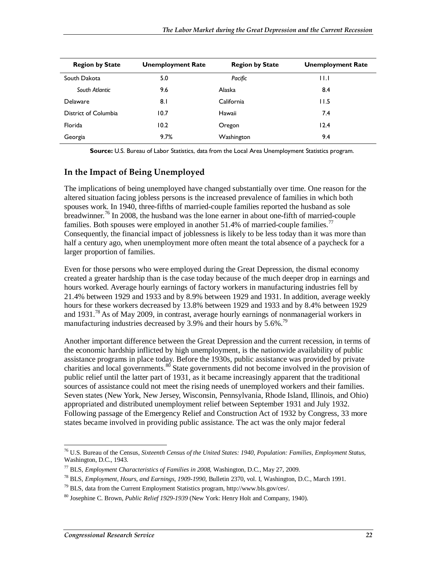| <b>Region by State</b> | <b>Unemployment Rate</b> | <b>Region by State</b> | <b>Unemployment Rate</b> |
|------------------------|--------------------------|------------------------|--------------------------|
| South Dakota           | 5.0                      | Pacific                | $\mathsf{H}$             |
| South Atlantic         | 9.6                      | Alaska                 | 8.4                      |
| Delaware               | 8.1                      | California             | 11.5                     |
| District of Columbia   | 10.7                     | Hawaii                 | 7.4                      |
| Florida                | 10.2                     | Oregon                 | 12.4                     |
| Georgia                | 9.7%                     | Washington             | 9.4                      |

**Source:** U.S. Bureau of Labor Statistics, data from the Local Area Unemployment Statistics program.

#### **In the Impact of Being Unemployed**

The implications of being unemployed have changed substantially over time. One reason for the altered situation facing jobless persons is the increased prevalence of families in which both spouses work. In 1940, three-fifths of married-couple families reported the husband as sole breadwinner.<sup>76</sup> In 2008, the husband was the lone earner in about one-fifth of married-couple families. Both spouses were employed in another 51.4% of married-couple families.<sup>77</sup> Consequently, the financial impact of joblessness is likely to be less today than it was more than half a century ago, when unemployment more often meant the total absence of a paycheck for a larger proportion of families.

Even for those persons who were employed during the Great Depression, the dismal economy created a greater hardship than is the case today because of the much deeper drop in earnings and hours worked. Average hourly earnings of factory workers in manufacturing industries fell by 21.4% between 1929 and 1933 and by 8.9% between 1929 and 1931. In addition, average weekly hours for these workers decreased by 13.8% between 1929 and 1933 and by 8.4% between 1929 and 1931.<sup>78</sup> As of May 2009, in contrast, average hourly earnings of nonmanagerial workers in manufacturing industries decreased by 3.9% and their hours by 5.6%.<sup>79</sup>

Another important difference between the Great Depression and the current recession, in terms of the economic hardship inflicted by high unemployment, is the nationwide availability of public assistance programs in place today. Before the 1930s, public assistance was provided by private charities and local governments.<sup>80</sup> State governments did not become involved in the provision of public relief until the latter part of 1931, as it became increasingly apparent that the traditional sources of assistance could not meet the rising needs of unemployed workers and their families. Seven states (New York, New Jersey, Wisconsin, Pennsylvania, Rhode Island, Illinois, and Ohio) appropriated and distributed unemployment relief between September 1931 and July 1932. Following passage of the Emergency Relief and Construction Act of 1932 by Congress, 33 more states became involved in providing public assistance. The act was the only major federal

<sup>-</sup>76 U.S. Bureau of the Census, *Sixteenth Census of the United States: 1940, Population: Families, Employment Status*, Washington, D.C., 1943.

<sup>77</sup> BLS, *Employment Characteristics of Families in 2008*, Washington, D.C., May 27, 2009.

<sup>78</sup> BLS, *Employment, Hours, and Earnings, 1909-1990*, Bulletin 2370, vol. I, Washington, D.C., March 1991.

<sup>79</sup> BLS, data from the Current Employment Statistics program, http://www.bls.gov/ces/.

<sup>80</sup> Josephine C. Brown, *Public Relief 1929-1939* (New York: Henry Holt and Company, 1940).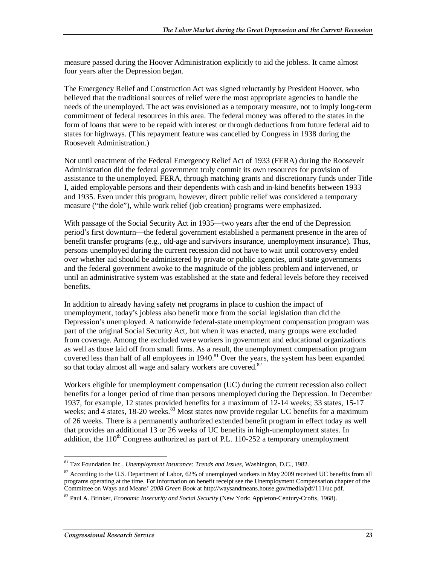measure passed during the Hoover Administration explicitly to aid the jobless. It came almost four years after the Depression began.

The Emergency Relief and Construction Act was signed reluctantly by President Hoover, who believed that the traditional sources of relief were the most appropriate agencies to handle the needs of the unemployed. The act was envisioned as a temporary measure, not to imply long-term commitment of federal resources in this area. The federal money was offered to the states in the form of loans that were to be repaid with interest or through deductions from future federal aid to states for highways. (This repayment feature was cancelled by Congress in 1938 during the Roosevelt Administration.)

Not until enactment of the Federal Emergency Relief Act of 1933 (FERA) during the Roosevelt Administration did the federal government truly commit its own resources for provision of assistance to the unemployed. FERA, through matching grants and discretionary funds under Title I, aided employable persons and their dependents with cash and in-kind benefits between 1933 and 1935. Even under this program, however, direct public relief was considered a temporary measure ("the dole"), while work relief (job creation) programs were emphasized.

With passage of the Social Security Act in 1935—two years after the end of the Depression period's first downturn—the federal government established a permanent presence in the area of benefit transfer programs (e.g., old-age and survivors insurance, unemployment insurance). Thus, persons unemployed during the current recession did not have to wait until controversy ended over whether aid should be administered by private or public agencies, until state governments and the federal government awoke to the magnitude of the jobless problem and intervened, or until an administrative system was established at the state and federal levels before they received benefits.

In addition to already having safety net programs in place to cushion the impact of unemployment, today's jobless also benefit more from the social legislation than did the Depression's unemployed. A nationwide federal-state unemployment compensation program was part of the original Social Security Act, but when it was enacted, many groups were excluded from coverage. Among the excluded were workers in government and educational organizations as well as those laid off from small firms. As a result, the unemployment compensation program covered less than half of all employees in  $1940$ .<sup>81</sup> Over the years, the system has been expanded so that today almost all wage and salary workers are covered.<sup>82</sup>

Workers eligible for unemployment compensation (UC) during the current recession also collect benefits for a longer period of time than persons unemployed during the Depression. In December 1937, for example, 12 states provided benefits for a maximum of 12-14 weeks; 33 states, 15-17 weeks; and 4 states, 18-20 weeks.<sup>83</sup> Most states now provide regular UC benefits for a maximum of 26 weeks. There is a permanently authorized extended benefit program in effect today as well that provides an additional 13 or 26 weeks of UC benefits in high-unemployment states. In addition, the  $110<sup>th</sup>$  Congress authorized as part of P.L. 110-252 a temporary unemployment

 $\overline{a}$ 81 Tax Foundation Inc., *Unemployment Insurance: Trends and Issues*, Washington, D.C., 1982.

<sup>&</sup>lt;sup>82</sup> According to the U.S. Department of Labor, 62% of unemployed workers in May 2009 received UC benefits from all programs operating at the time. For information on benefit receipt see the Unemployment Compensation chapter of the Committee on Ways and Means' *2008 Green Book* at http://waysandmeans.house.gov/media/pdf/111/uc.pdf.

<sup>83</sup> Paul A. Brinker, *Economic Insecurity and Social Security* (New York: Appleton-Century-Crofts, 1968).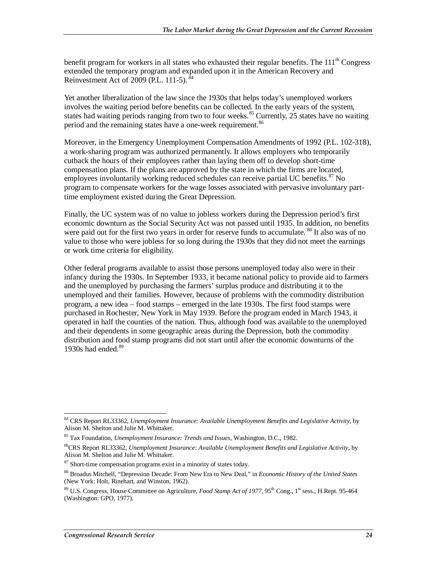benefit program for workers in all states who exhausted their regular benefits. The  $111<sup>th</sup>$  Congress extended the temporary program and expanded upon it in the American Recovery and Reinvestment Act of 2009 (P.L. 111-5).  $84$ 

Yet another liberalization of the law since the 1930s that helps today's unemployed workers involves the waiting period before benefits can be collected. In the early years of the system, states had waiting periods ranging from two to four weeks.<sup>85</sup> Currently, 25 states have no waiting period and the remaining states have a one-week requirement.<sup>86</sup>

Moreover, in the Emergency Unemployment Compensation Amendments of 1992 (P.L. 102-318), a work-sharing program was authorized permanently. It allows employers who temporarily cutback the hours of their employees rather than laying them off to develop short-time compensation plans. If the plans are approved by the state in which the firms are located, employees involuntarily working reduced schedules can receive partial UC benefits.<sup>87</sup> No program to compensate workers for the wage losses associated with pervasive involuntary parttime employment existed during the Great Depression.

Finally, the UC system was of no value to jobless workers during the Depression period's first economic downturn as the Social Security Act was not passed until 1935. In addition, no benefits were paid out for the first two years in order for reserve funds to accumulate. <sup>88</sup> It also was of no value to those who were jobless for so long during the 1930s that they did not meet the earnings or work time criteria for eligibility.

Other federal programs available to assist those persons unemployed today also were in their infancy during the 1930s. In September 1933, it became national policy to provide aid to farmers and the unemployed by purchasing the farmers' surplus produce and distributing it to the unemployed and their families. However, because of problems with the commodity distribution program, a new idea – food stamps – emerged in the late 1930s. The first food stamps were purchased in Rochester, New York in May 1939. Before the program ended in March 1943, it operated in half the counties of the nation. Thus, although food was available to the unemployed and their dependents in some geographic areas during the Depression, both the commodity distribution and food stamp programs did not start until after the economic downturns of the 1930s had ended.<sup>89</sup>

<sup>-</sup>84 CRS Report RL33362, *Unemployment Insurance: Available Unemployment Benefits and Legislative Activity*, by Alison M. Shelton and Julie M. Whittaker.

<sup>85</sup> Tax Foundation, *Unemployment Insurance: Trends and Issues*, Washington, D.C., 1982.

<sup>86</sup>CRS Report RL33362, *Unemployment Insurance: Available Unemployment Benefits and Legislative Activity*, by Alison M. Shelton and Julie M. Whittaker.

<sup>&</sup>lt;sup>87</sup> Short-time compensation programs exist in a minority of states today.

<sup>88</sup> Broadus Mitchell, "Depression Decade: From New Era to New Deal," in *Economic History of the United States* (New York: Holt, Rinehart, and Winston, 1962).

<sup>&</sup>lt;sup>89</sup> U.S. Congress, House Committee on Agriculture, *Food Stamp Act of 1977*, 95<sup>th</sup> Cong., 1<sup>st</sup> sess., H.Rept. 95-464 (Washington: GPO, 1977).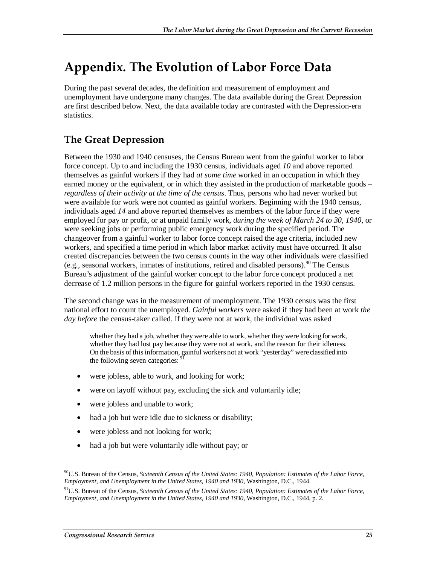## **Appendix. The Evolution of Labor Force Data**

During the past several decades, the definition and measurement of employment and unemployment have undergone many changes. The data available during the Great Depression are first described below. Next, the data available today are contrasted with the Depression-era statistics.

## **The Great Depression**

Between the 1930 and 1940 censuses, the Census Bureau went from the gainful worker to labor force concept. Up to and including the 1930 census, individuals aged *10* and above reported themselves as gainful workers if they had *at some time* worked in an occupation in which they earned money or the equivalent, or in which they assisted in the production of marketable goods – *regardless of their activity at the time of the census*. Thus, persons who had never worked but were available for work were not counted as gainful workers. Beginning with the 1940 census, individuals aged *14* and above reported themselves as members of the labor force if they were employed for pay or profit, or at unpaid family work, *during the week of March 24 to 30, 1940*, or were seeking jobs or performing public emergency work during the specified period. The changeover from a gainful worker to labor force concept raised the age criteria, included new workers, and specified a time period in which labor market activity must have occurred. It also created discrepancies between the two census counts in the way other individuals were classified (e.g., seasonal workers, inmates of institutions, retired and disabled persons). <sup>90</sup> The Census Bureau's adjustment of the gainful worker concept to the labor force concept produced a net decrease of 1.2 million persons in the figure for gainful workers reported in the 1930 census.

The second change was in the measurement of unemployment. The 1930 census was the first national effort to count the unemployed. *Gainful workers* were asked if they had been at work *the day before* the census-taker called. If they were not at work, the individual was asked

whether they had a job, whether they were able to work, whether they were looking for work, whether they had lost pay because they were not at work, and the reason for their idleness. On the basis of this information, gainful workers not at work "yesterday" were classified into the following seven categories:

- were jobless, able to work, and looking for work;
- were on layoff without pay, excluding the sick and voluntarily idle;
- were jobless and unable to work;
- had a job but were idle due to sickness or disability;
- were jobless and not looking for work;
- had a job but were voluntarily idle without pay; or

<sup>-</sup>90U.S. Bureau of the Census, *Sixteenth Census of the United States: 1940, Population: Estimates of the Labor Force, Employment, and Unemployment in the United States, 1940 and 1930*, Washington, D.C., 1944.

<sup>91</sup>U.S. Bureau of the Census, *Sixteenth Census of the United States: 1940, Population: Estimates of the Labor Force, Employment, and Unemployment in the United States, 1940 and 1930*, Washington, D.C., 1944, p. 2.